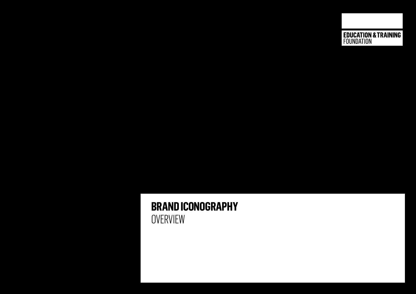**EDUCATION & TRAINING**<br>FOUNDATION

## **BRAND ICONOGRAPHY OVERVIEW**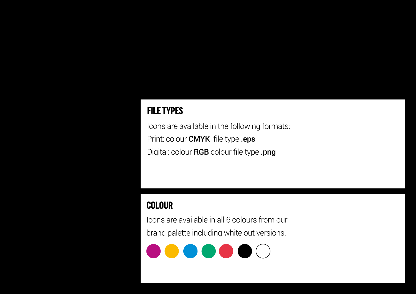## **FILE TYPES**

Icons are available in the following formats: Print: colour **CMYK** file type .eps Digital: colour RGB colour file type .png

## **COLOUR**

Icons are available in all 6 colours from our brand palette including white out versions.

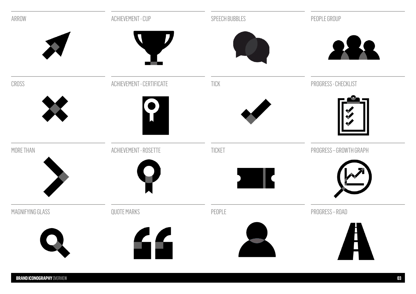| ARROW            | ACHIEVEMENT - CUP                      | SPEECH BUBBLES | PEOPLE GROUP          |
|------------------|----------------------------------------|----------------|-----------------------|
|                  |                                        |                |                       |
| CROSS            | ACHIEVEMENT - CERTIFICATE              | TICK           | PROGRESS - CHECKLIST  |
| K                |                                        |                |                       |
| MORE THAN        | ACHIEVEMENT - ROSETTE                  | TICKET         | PROGRESS-GROWTH GRAPH |
|                  |                                        |                |                       |
| MAGNIFYING GLASS | QUOTE MARKS                            | PEOPLE         | PROGRESS-ROAD         |
|                  | $\left\langle \mathbf{f}\right\rangle$ |                |                       |
|                  |                                        |                |                       |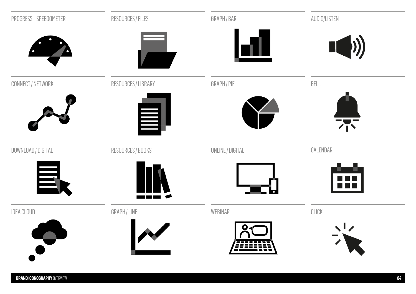| PROGRESS-SPEEDOMETER | RESOURCES / FILES   | GRAPH / BAR      | AUDIO/LISTEN   |
|----------------------|---------------------|------------------|----------------|
|                      |                     |                  | $\blacksquare$ |
| CONNECT / NETWORK    | RESOURCES / LIBRARY | GRAPH / PIE      | BELL           |
|                      | 昌                   |                  | 不              |
| DOWNLOAD / DIGITAL   | RESOURCES / BOOKS   | ONLINE / DIGITAL | CALENDAR       |
| 昌                    |                     |                  |                |
| <b>IDEA CLOUD</b>    | GRAPH / LINE        | WEBINAR          | CLICK          |
| $\rightarrow$        |                     |                  |                |

**BRAND ICONOGRAPHY** OVERVIEW **04**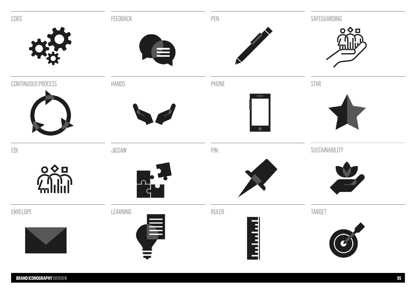| COGS                             | FEEDBACK | PEN            | SAFEGUARDING           |
|----------------------------------|----------|----------------|------------------------|
|                                  |          |                | $OQ$ <sub>D</sub><br>Ш |
|                                  | 트        |                |                        |
| CONTINUOUS PROCESS               | HANDS    | PHONE          | STAR                   |
|                                  |          |                |                        |
|                                  |          |                |                        |
| $\mathsf{E}\mathsf{D}\mathsf{I}$ | JIGSAW   | $\mathsf{PIN}$ | SUSTAINABILITY         |
| $\circ \diamond$                 | $\Omega$ |                |                        |
| fm.                              |          |                |                        |
| ENVELOPE                         | LEARNING | RULER          | TARGET                 |
|                                  |          | É              |                        |
|                                  |          |                |                        |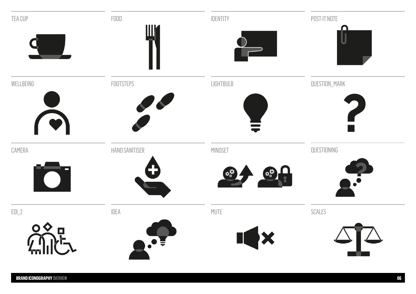| TEA CUP                           | F00D<br>$\mathbb{H}^\prime$ | IDENTITY            | POST-IT NOTE<br>П                           |
|-----------------------------------|-----------------------------|---------------------|---------------------------------------------|
|                                   |                             |                     |                                             |
| WELLBEING                         | FOOTSTEPS                   | LIGHTBULB           | QUESTION_MARK                               |
| CAMERA<br>$\overline{\textbf{O}}$ | HAND SANITISER              | MINDSET             | QUESTIONING<br>$\Phi_{\alpha}^{\mathbf{R}}$ |
| $EDL_2$                           | IDEA                        | MUTE                | SCALES                                      |
|                                   |                             | $\mathbf{H} \times$ |                                             |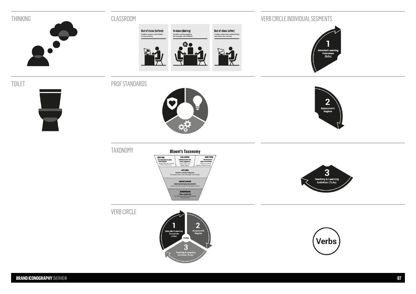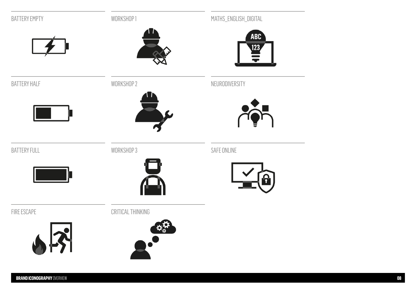| <b>BATTERY EMPTY</b>                      | WORKSHOP1         | MATHS_ENGLISH_DIGITAL<br>ABC |
|-------------------------------------------|-------------------|------------------------------|
| <b>BATTERY HALF</b>                       | WORKSHOP 2        | <b>123</b><br>NEURODIVERSITY |
| <b>BATTERY FULL</b>                       | WORKSHOP 3        | SAFE ONLINE                  |
| FIRE ESCAPE                               | CRITICAL THINKING | $\widehat{\bm{\Omega}}$      |
| $\left  \boldsymbol{\mathcal{S}} \right $ |                   |                              |